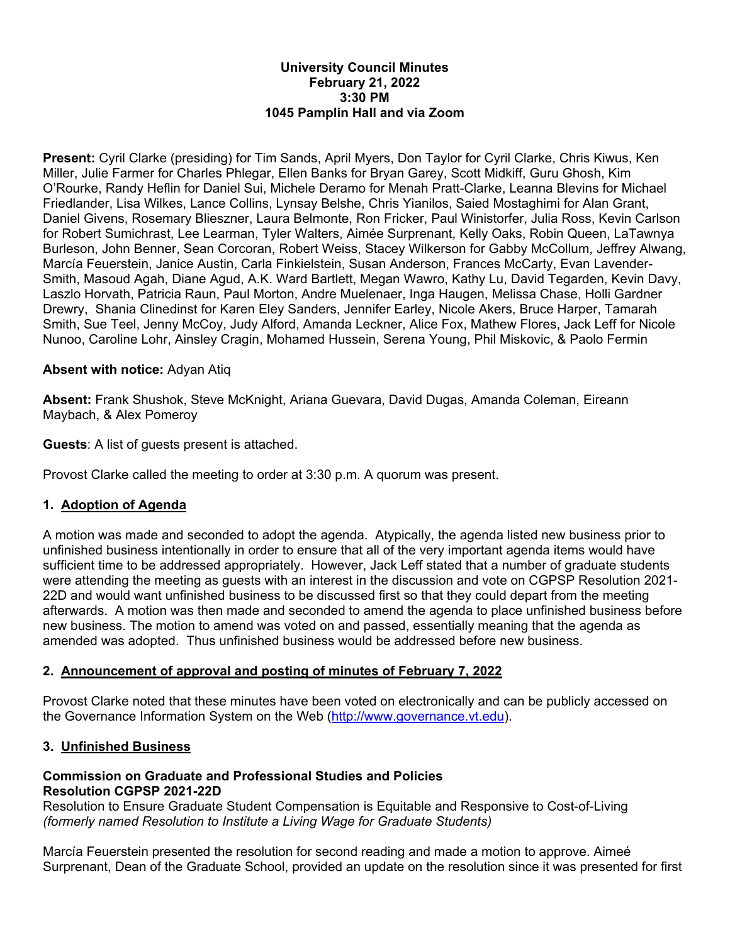#### **University Council Minutes February 21, 2022 3:30 PM 1045 Pamplin Hall and via Zoom**

**Present:** Cyril Clarke (presiding) for Tim Sands, April Myers, Don Taylor for Cyril Clarke, Chris Kiwus, Ken Miller, Julie Farmer for Charles Phlegar, Ellen Banks for Bryan Garey, Scott Midkiff, Guru Ghosh, Kim O'Rourke, Randy Heflin for Daniel Sui, Michele Deramo for Menah Pratt-Clarke, Leanna Blevins for Michael Friedlander, Lisa Wilkes, Lance Collins, Lynsay Belshe, Chris Yianilos, Saied Mostaghimi for Alan Grant, Daniel Givens, Rosemary Blieszner, Laura Belmonte, Ron Fricker, Paul Winistorfer, Julia Ross, Kevin Carlson for Robert Sumichrast, Lee Learman, Tyler Walters, Aimée Surprenant, Kelly Oaks, Robin Queen, LaTawnya Burleson, John Benner, Sean Corcoran, Robert Weiss, Stacey Wilkerson for Gabby McCollum, Jeffrey Alwang, Marcía Feuerstein, Janice Austin, Carla Finkielstein, Susan Anderson, Frances McCarty, Evan Lavender-Smith, Masoud Agah, Diane Agud, A.K. Ward Bartlett, Megan Wawro, Kathy Lu, David Tegarden, Kevin Davy, Laszlo Horvath, Patricia Raun, Paul Morton, Andre Muelenaer, Inga Haugen, Melissa Chase, Holli Gardner Drewry, Shania Clinedinst for Karen Eley Sanders, Jennifer Earley, Nicole Akers, Bruce Harper, Tamarah Smith, Sue Teel, Jenny McCoy, Judy Alford, Amanda Leckner, Alice Fox, Mathew Flores, Jack Leff for Nicole Nunoo, Caroline Lohr, Ainsley Cragin, Mohamed Hussein, Serena Young, Phil Miskovic, & Paolo Fermin

## **Absent with notice:** Adyan Atiq

**Absent:** Frank Shushok, Steve McKnight, Ariana Guevara, David Dugas, Amanda Coleman, Eireann Maybach, & Alex Pomeroy

**Guests**: A list of guests present is attached.

Provost Clarke called the meeting to order at 3:30 p.m. A quorum was present.

## **1. Adoption of Agenda**

A motion was made and seconded to adopt the agenda. Atypically, the agenda listed new business prior to unfinished business intentionally in order to ensure that all of the very important agenda items would have sufficient time to be addressed appropriately. However, Jack Leff stated that a number of graduate students were attending the meeting as guests with an interest in the discussion and vote on CGPSP Resolution 2021- 22D and would want unfinished business to be discussed first so that they could depart from the meeting afterwards. A motion was then made and seconded to amend the agenda to place unfinished business before new business. The motion to amend was voted on and passed, essentially meaning that the agenda as amended was adopted. Thus unfinished business would be addressed before new business.

# **2. Announcement of approval and posting of minutes of February 7, 2022**

Provost Clarke noted that these minutes have been voted on electronically and can be publicly accessed on the Governance Information System on the Web (http://www.governance.vt.edu).

## **3. Unfinished Business**

## **Commission on Graduate and Professional Studies and Policies Resolution CGPSP 2021-22D**

Resolution to Ensure Graduate Student Compensation is Equitable and Responsive to Cost-of-Living *(formerly named Resolution to Institute a Living Wage for Graduate Students)* 

Marcía Feuerstein presented the resolution for second reading and made a motion to approve. Aimeé Surprenant, Dean of the Graduate School, provided an update on the resolution since it was presented for first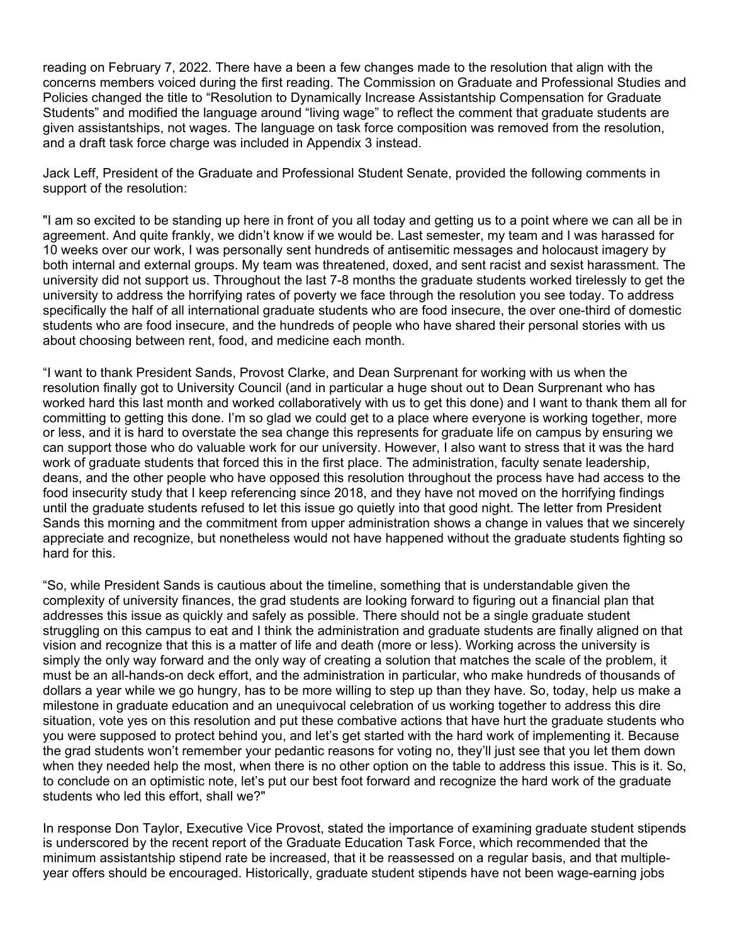reading on February 7, 2022. There have a been a few changes made to the resolution that align with the concerns members voiced during the first reading. The Commission on Graduate and Professional Studies and Policies changed the title to "Resolution to Dynamically Increase Assistantship Compensation for Graduate Students" and modified the language around "living wage" to reflect the comment that graduate students are given assistantships, not wages. The language on task force composition was removed from the resolution, and a draft task force charge was included in Appendix 3 instead.

Jack Leff, President of the Graduate and Professional Student Senate, provided the following comments in support of the resolution:

"I am so excited to be standing up here in front of you all today and getting us to a point where we can all be in agreement. And quite frankly, we didn't know if we would be. Last semester, my team and I was harassed for 10 weeks over our work, I was personally sent hundreds of antisemitic messages and holocaust imagery by both internal and external groups. My team was threatened, doxed, and sent racist and sexist harassment. The university did not support us. Throughout the last 7-8 months the graduate students worked tirelessly to get the university to address the horrifying rates of poverty we face through the resolution you see today. To address specifically the half of all international graduate students who are food insecure, the over one-third of domestic students who are food insecure, and the hundreds of people who have shared their personal stories with us about choosing between rent, food, and medicine each month.

"I want to thank President Sands, Provost Clarke, and Dean Surprenant for working with us when the resolution finally got to University Council (and in particular a huge shout out to Dean Surprenant who has worked hard this last month and worked collaboratively with us to get this done) and I want to thank them all for committing to getting this done. I'm so glad we could get to a place where everyone is working together, more or less, and it is hard to overstate the sea change this represents for graduate life on campus by ensuring we can support those who do valuable work for our university. However, I also want to stress that it was the hard work of graduate students that forced this in the first place. The administration, faculty senate leadership, deans, and the other people who have opposed this resolution throughout the process have had access to the food insecurity study that I keep referencing since 2018, and they have not moved on the horrifying findings until the graduate students refused to let this issue go quietly into that good night. The letter from President Sands this morning and the commitment from upper administration shows a change in values that we sincerely appreciate and recognize, but nonetheless would not have happened without the graduate students fighting so hard for this.

"So, while President Sands is cautious about the timeline, something that is understandable given the complexity of university finances, the grad students are looking forward to figuring out a financial plan that addresses this issue as quickly and safely as possible. There should not be a single graduate student struggling on this campus to eat and I think the administration and graduate students are finally aligned on that vision and recognize that this is a matter of life and death (more or less). Working across the university is simply the only way forward and the only way of creating a solution that matches the scale of the problem, it must be an all-hands-on deck effort, and the administration in particular, who make hundreds of thousands of dollars a year while we go hungry, has to be more willing to step up than they have. So, today, help us make a milestone in graduate education and an unequivocal celebration of us working together to address this dire situation, vote yes on this resolution and put these combative actions that have hurt the graduate students who you were supposed to protect behind you, and let's get started with the hard work of implementing it. Because the grad students won't remember your pedantic reasons for voting no, they'll just see that you let them down when they needed help the most, when there is no other option on the table to address this issue. This is it. So, to conclude on an optimistic note, let's put our best foot forward and recognize the hard work of the graduate students who led this effort, shall we?"

In response Don Taylor, Executive Vice Provost, stated the importance of examining graduate student stipends is underscored by the recent report of the Graduate Education Task Force, which recommended that the minimum assistantship stipend rate be increased, that it be reassessed on a regular basis, and that multipleyear offers should be encouraged. Historically, graduate student stipends have not been wage-earning jobs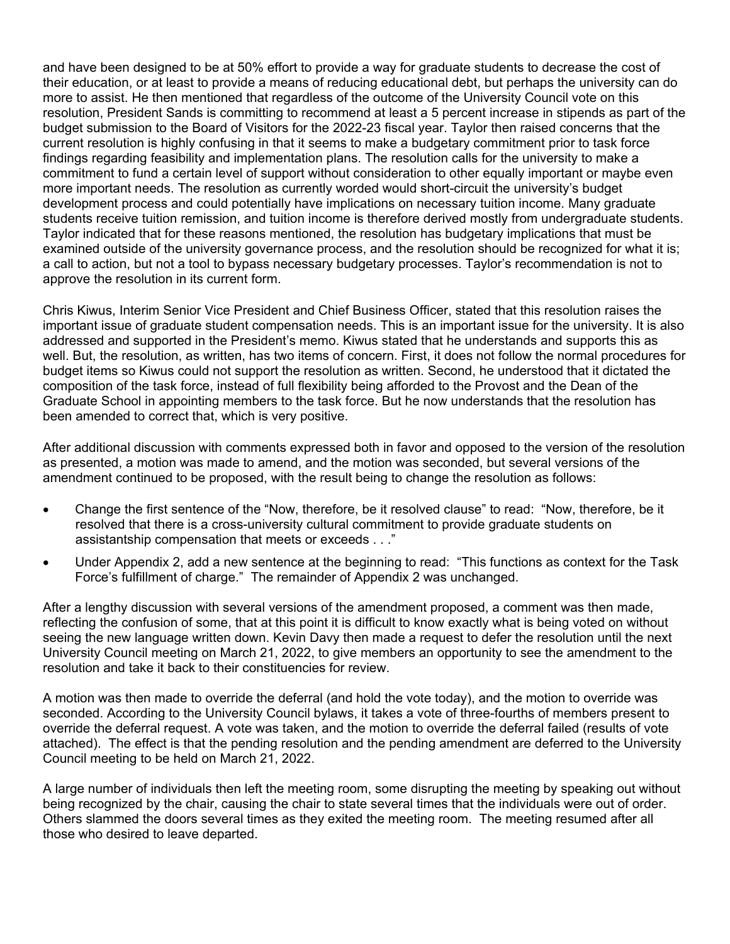and have been designed to be at 50% effort to provide a way for graduate students to decrease the cost of their education, or at least to provide a means of reducing educational debt, but perhaps the university can do more to assist. He then mentioned that regardless of the outcome of the University Council vote on this resolution, President Sands is committing to recommend at least a 5 percent increase in stipends as part of the budget submission to the Board of Visitors for the 2022-23 fiscal year. Taylor then raised concerns that the current resolution is highly confusing in that it seems to make a budgetary commitment prior to task force findings regarding feasibility and implementation plans. The resolution calls for the university to make a commitment to fund a certain level of support without consideration to other equally important or maybe even more important needs. The resolution as currently worded would short-circuit the university's budget development process and could potentially have implications on necessary tuition income. Many graduate students receive tuition remission, and tuition income is therefore derived mostly from undergraduate students. Taylor indicated that for these reasons mentioned, the resolution has budgetary implications that must be examined outside of the university governance process, and the resolution should be recognized for what it is; a call to action, but not a tool to bypass necessary budgetary processes. Taylor's recommendation is not to approve the resolution in its current form.

Chris Kiwus, Interim Senior Vice President and Chief Business Officer, stated that this resolution raises the important issue of graduate student compensation needs. This is an important issue for the university. It is also addressed and supported in the President's memo. Kiwus stated that he understands and supports this as well. But, the resolution, as written, has two items of concern. First, it does not follow the normal procedures for budget items so Kiwus could not support the resolution as written. Second, he understood that it dictated the composition of the task force, instead of full flexibility being afforded to the Provost and the Dean of the Graduate School in appointing members to the task force. But he now understands that the resolution has been amended to correct that, which is very positive.

After additional discussion with comments expressed both in favor and opposed to the version of the resolution as presented, a motion was made to amend, and the motion was seconded, but several versions of the amendment continued to be proposed, with the result being to change the resolution as follows:

- Change the first sentence of the "Now, therefore, be it resolved clause" to read: "Now, therefore, be it resolved that there is a cross-university cultural commitment to provide graduate students on assistantship compensation that meets or exceeds . . ."
- Under Appendix 2, add a new sentence at the beginning to read: "This functions as context for the Task Force's fulfillment of charge." The remainder of Appendix 2 was unchanged.

After a lengthy discussion with several versions of the amendment proposed, a comment was then made, reflecting the confusion of some, that at this point it is difficult to know exactly what is being voted on without seeing the new language written down. Kevin Davy then made a request to defer the resolution until the next University Council meeting on March 21, 2022, to give members an opportunity to see the amendment to the resolution and take it back to their constituencies for review.

A motion was then made to override the deferral (and hold the vote today), and the motion to override was seconded. According to the University Council bylaws, it takes a vote of three-fourths of members present to override the deferral request. A vote was taken, and the motion to override the deferral failed (results of vote attached). The effect is that the pending resolution and the pending amendment are deferred to the University Council meeting to be held on March 21, 2022.

A large number of individuals then left the meeting room, some disrupting the meeting by speaking out without being recognized by the chair, causing the chair to state several times that the individuals were out of order. Others slammed the doors several times as they exited the meeting room. The meeting resumed after all those who desired to leave departed.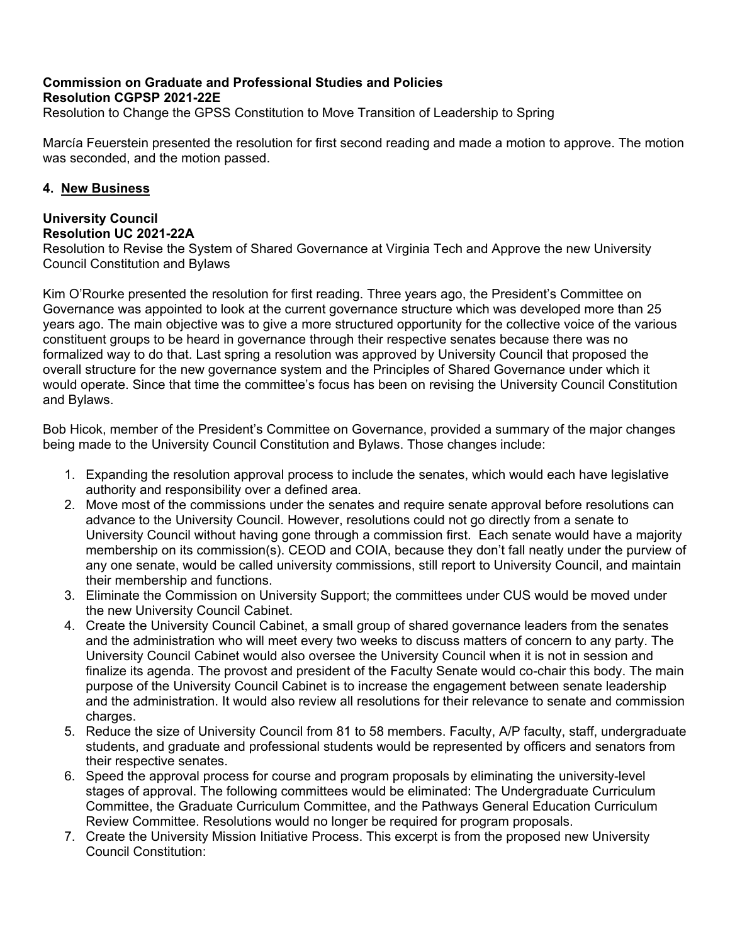# **Commission on Graduate and Professional Studies and Policies Resolution CGPSP 2021-22E**

Resolution to Change the GPSS Constitution to Move Transition of Leadership to Spring

Marcía Feuerstein presented the resolution for first second reading and made a motion to approve. The motion was seconded, and the motion passed.

## **4. New Business**

## **University Council Resolution UC 2021-22A**

Resolution to Revise the System of Shared Governance at Virginia Tech and Approve the new University Council Constitution and Bylaws

Kim O'Rourke presented the resolution for first reading. Three years ago, the President's Committee on Governance was appointed to look at the current governance structure which was developed more than 25 years ago. The main objective was to give a more structured opportunity for the collective voice of the various constituent groups to be heard in governance through their respective senates because there was no formalized way to do that. Last spring a resolution was approved by University Council that proposed the overall structure for the new governance system and the Principles of Shared Governance under which it would operate. Since that time the committee's focus has been on revising the University Council Constitution and Bylaws.

Bob Hicok, member of the President's Committee on Governance, provided a summary of the major changes being made to the University Council Constitution and Bylaws. Those changes include:

- 1. Expanding the resolution approval process to include the senates, which would each have legislative authority and responsibility over a defined area.
- 2. Move most of the commissions under the senates and require senate approval before resolutions can advance to the University Council. However, resolutions could not go directly from a senate to University Council without having gone through a commission first. Each senate would have a majority membership on its commission(s). CEOD and COIA, because they don't fall neatly under the purview of any one senate, would be called university commissions, still report to University Council, and maintain their membership and functions.
- 3. Eliminate the Commission on University Support; the committees under CUS would be moved under the new University Council Cabinet.
- 4. Create the University Council Cabinet, a small group of shared governance leaders from the senates and the administration who will meet every two weeks to discuss matters of concern to any party. The University Council Cabinet would also oversee the University Council when it is not in session and finalize its agenda. The provost and president of the Faculty Senate would co-chair this body. The main purpose of the University Council Cabinet is to increase the engagement between senate leadership and the administration. It would also review all resolutions for their relevance to senate and commission charges.
- 5. Reduce the size of University Council from 81 to 58 members. Faculty, A/P faculty, staff, undergraduate students, and graduate and professional students would be represented by officers and senators from their respective senates.
- 6. Speed the approval process for course and program proposals by eliminating the university-level stages of approval. The following committees would be eliminated: The Undergraduate Curriculum Committee, the Graduate Curriculum Committee, and the Pathways General Education Curriculum Review Committee. Resolutions would no longer be required for program proposals.
- 7. Create the University Mission Initiative Process. This excerpt is from the proposed new University Council Constitution: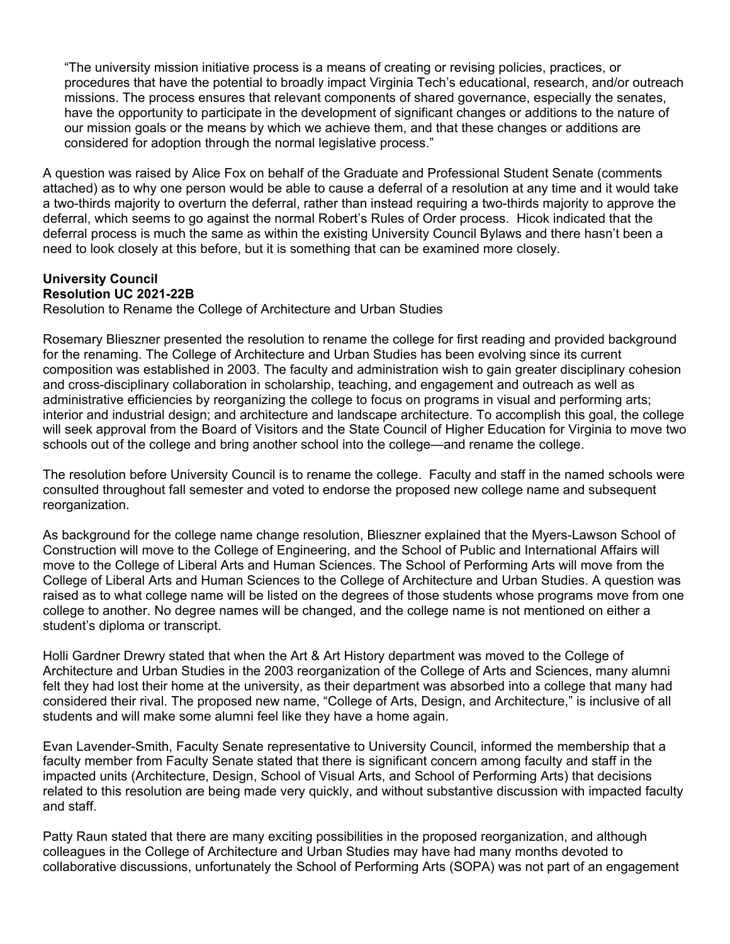"The university mission initiative process is a means of creating or revising policies, practices, or procedures that have the potential to broadly impact Virginia Tech's educational, research, and/or outreach missions. The process ensures that relevant components of shared governance, especially the senates, have the opportunity to participate in the development of significant changes or additions to the nature of our mission goals or the means by which we achieve them, and that these changes or additions are considered for adoption through the normal legislative process."

A question was raised by Alice Fox on behalf of the Graduate and Professional Student Senate (comments attached) as to why one person would be able to cause a deferral of a resolution at any time and it would take a two-thirds majority to overturn the deferral, rather than instead requiring a two-thirds majority to approve the deferral, which seems to go against the normal Robert's Rules of Order process. Hicok indicated that the deferral process is much the same as within the existing University Council Bylaws and there hasn't been a need to look closely at this before, but it is something that can be examined more closely.

# **University Council Resolution UC 2021-22B**

Resolution to Rename the College of Architecture and Urban Studies

Rosemary Blieszner presented the resolution to rename the college for first reading and provided background for the renaming. The College of Architecture and Urban Studies has been evolving since its current composition was established in 2003. The faculty and administration wish to gain greater disciplinary cohesion and cross-disciplinary collaboration in scholarship, teaching, and engagement and outreach as well as administrative efficiencies by reorganizing the college to focus on programs in visual and performing arts; interior and industrial design; and architecture and landscape architecture. To accomplish this goal, the college will seek approval from the Board of Visitors and the State Council of Higher Education for Virginia to move two schools out of the college and bring another school into the college—and rename the college.

The resolution before University Council is to rename the college. Faculty and staff in the named schools were consulted throughout fall semester and voted to endorse the proposed new college name and subsequent reorganization.

As background for the college name change resolution, Blieszner explained that the Myers-Lawson School of Construction will move to the College of Engineering, and the School of Public and International Affairs will move to the College of Liberal Arts and Human Sciences. The School of Performing Arts will move from the College of Liberal Arts and Human Sciences to the College of Architecture and Urban Studies. A question was raised as to what college name will be listed on the degrees of those students whose programs move from one college to another. No degree names will be changed, and the college name is not mentioned on either a student's diploma or transcript.

Holli Gardner Drewry stated that when the Art & Art History department was moved to the College of Architecture and Urban Studies in the 2003 reorganization of the College of Arts and Sciences, many alumni felt they had lost their home at the university, as their department was absorbed into a college that many had considered their rival. The proposed new name, "College of Arts, Design, and Architecture," is inclusive of all students and will make some alumni feel like they have a home again.

Evan Lavender-Smith, Faculty Senate representative to University Council, informed the membership that a faculty member from Faculty Senate stated that there is significant concern among faculty and staff in the impacted units (Architecture, Design, School of Visual Arts, and School of Performing Arts) that decisions related to this resolution are being made very quickly, and without substantive discussion with impacted faculty and staff.

Patty Raun stated that there are many exciting possibilities in the proposed reorganization, and although colleagues in the College of Architecture and Urban Studies may have had many months devoted to collaborative discussions, unfortunately the School of Performing Arts (SOPA) was not part of an engagement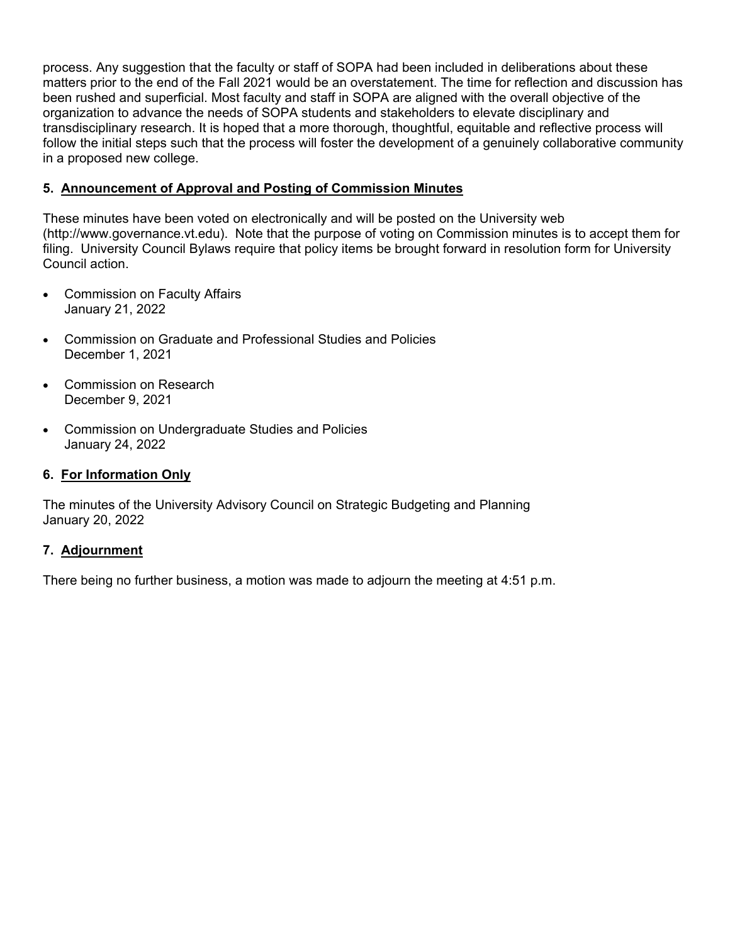process. Any suggestion that the faculty or staff of SOPA had been included in deliberations about these matters prior to the end of the Fall 2021 would be an overstatement. The time for reflection and discussion has been rushed and superficial. Most faculty and staff in SOPA are aligned with the overall objective of the organization to advance the needs of SOPA students and stakeholders to elevate disciplinary and transdisciplinary research. It is hoped that a more thorough, thoughtful, equitable and reflective process will follow the initial steps such that the process will foster the development of a genuinely collaborative community in a proposed new college.

## **5. Announcement of Approval and Posting of Commission Minutes**

These minutes have been voted on electronically and will be posted on the University web (http://www.governance.vt.edu). Note that the purpose of voting on Commission minutes is to accept them for filing. University Council Bylaws require that policy items be brought forward in resolution form for University Council action.

- Commission on Faculty Affairs January 21, 2022
- Commission on Graduate and Professional Studies and Policies December 1, 2021
- Commission on Research December 9, 2021
- Commission on Undergraduate Studies and Policies January 24, 2022

## **6. For Information Only**

The minutes of the University Advisory Council on Strategic Budgeting and Planning January 20, 2022

## **7. Adjournment**

There being no further business, a motion was made to adjourn the meeting at 4:51 p.m.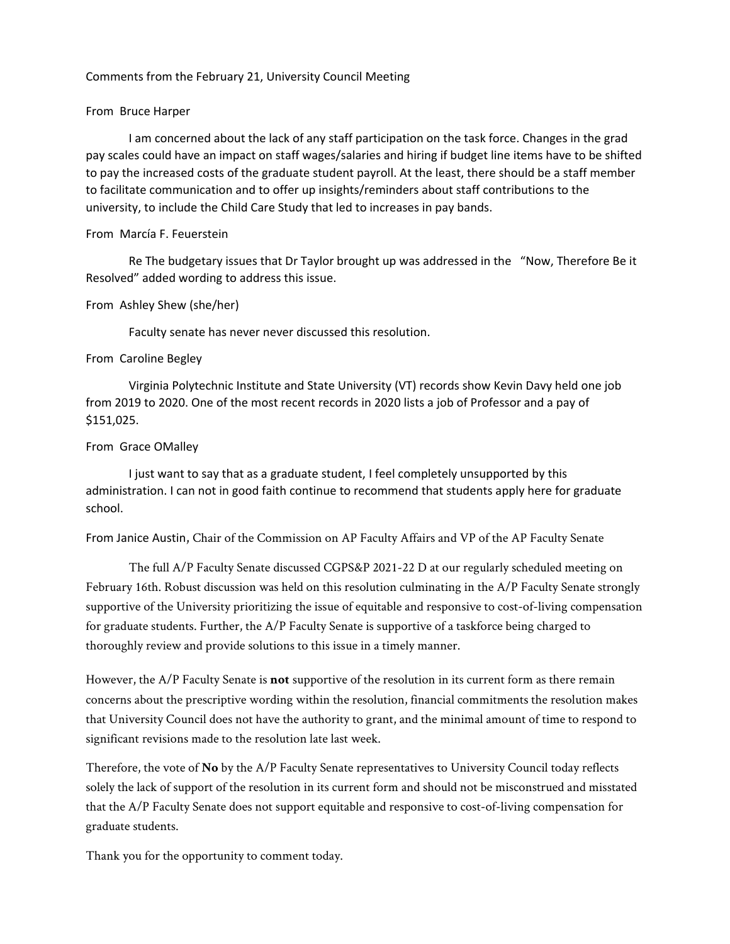#### Comments from the February 21, University Council Meeting

#### From Bruce Harper

I am concerned about the lack of any staff participation on the task force. Changes in the grad pay scales could have an impact on staff wages/salaries and hiring if budget line items have to be shifted to pay the increased costs of the graduate student payroll. At the least, there should be a staff member to facilitate communication and to offer up insights/reminders about staff contributions to the university, to include the Child Care Study that led to increases in pay bands.

#### From Marcía F. Feuerstein

Re The budgetary issues that Dr Taylor brought up was addressed in the "Now, Therefore Be it Resolved" added wording to address this issue.

#### From Ashley Shew (she/her)

Faculty senate has never never discussed this resolution.

#### From Caroline Begley

Virginia Polytechnic Institute and State University (VT) records show Kevin Davy held one job from 2019 to 2020. One of the most recent records in 2020 lists a job of Professor and a pay of \$151,025.

#### From Grace OMalley

I just want to say that as a graduate student, I feel completely unsupported by this administration. I can not in good faith continue to recommend that students apply here for graduate school.

From Janice Austin, Chair of the Commission on AP Faculty Affairs and VP of the AP Faculty Senate

The full A/P Faculty Senate discussed CGPS&P 2021-22 D at our regularly scheduled meeting on February 16th. Robust discussion was held on this resolution culminating in the A/P Faculty Senate strongly supportive of the University prioritizing the issue of equitable and responsive to cost-of-living compensation for graduate students. Further, the A/P Faculty Senate is supportive of a taskforce being charged to thoroughly review and provide solutions to this issue in a timely manner.

However, the A/P Faculty Senate is **not** supportive of the resolution in its current form as there remain concerns about the prescriptive wording within the resolution, financial commitments the resolution makes that University Council does not have the authority to grant, and the minimal amount of time to respond to significant revisions made to the resolution late last week.

Therefore, the vote of **No** by the A/P Faculty Senate representatives to University Council today reflects solely the lack of support of the resolution in its current form and should not be misconstrued and misstated that the A/P Faculty Senate does not support equitable and responsive to cost-of-living compensation for graduate students.

Thank you for the opportunity to comment today.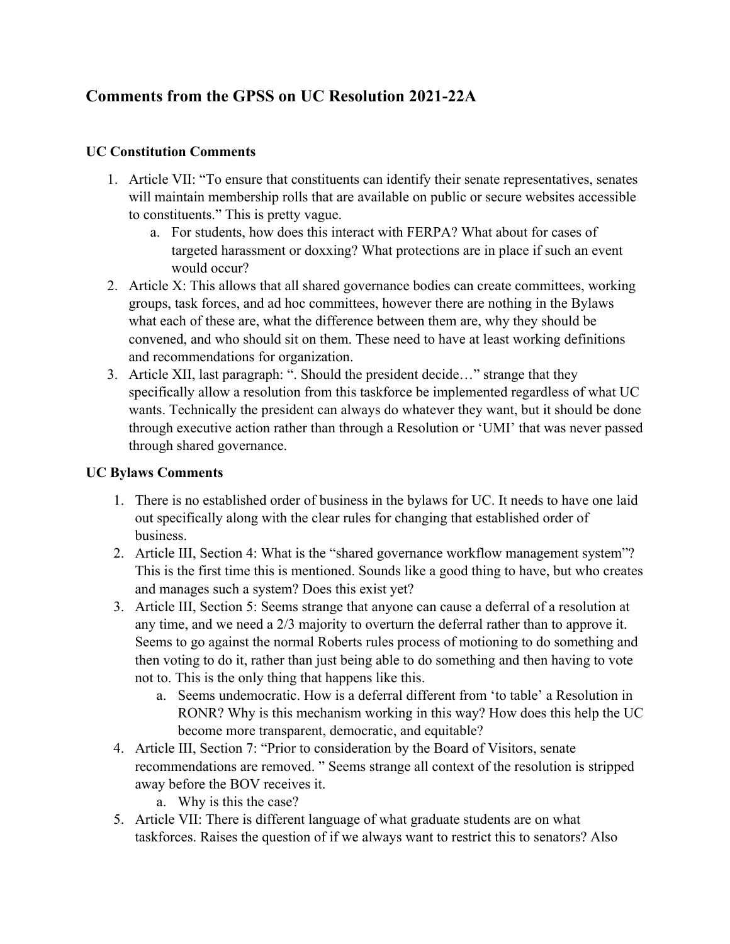# **Comments from the GPSS on UC Resolution 2021-22A**

# **UC Constitution Comments**

- 1. Article VII: "To ensure that constituents can identify their senate representatives, senates will maintain membership rolls that are available on public or secure websites accessible to constituents." This is pretty vague.
	- a. For students, how does this interact with FERPA? What about for cases of targeted harassment or doxxing? What protections are in place if such an event would occur?
- 2. Article X: This allows that all shared governance bodies can create committees, working groups, task forces, and ad hoc committees, however there are nothing in the Bylaws what each of these are, what the difference between them are, why they should be convened, and who should sit on them. These need to have at least working definitions and recommendations for organization.
- 3. Article XII, last paragraph: ". Should the president decide…" strange that they specifically allow a resolution from this taskforce be implemented regardless of what UC wants. Technically the president can always do whatever they want, but it should be done through executive action rather than through a Resolution or 'UMI' that was never passed through shared governance.

# **UC Bylaws Comments**

- 1. There is no established order of business in the bylaws for UC. It needs to have one laid out specifically along with the clear rules for changing that established order of business.
- 2. Article III, Section 4: What is the "shared governance workflow management system"? This is the first time this is mentioned. Sounds like a good thing to have, but who creates and manages such a system? Does this exist yet?
- 3. Article III, Section 5: Seems strange that anyone can cause a deferral of a resolution at any time, and we need a 2/3 majority to overturn the deferral rather than to approve it. Seems to go against the normal Roberts rules process of motioning to do something and then voting to do it, rather than just being able to do something and then having to vote not to. This is the only thing that happens like this.
	- a. Seems undemocratic. How is a deferral different from 'to table' a Resolution in RONR? Why is this mechanism working in this way? How does this help the UC become more transparent, democratic, and equitable?
- 4. Article III, Section 7: "Prior to consideration by the Board of Visitors, senate recommendations are removed. " Seems strange all context of the resolution is stripped away before the BOV receives it.
	- a. Why is this the case?
- 5. Article VII: There is different language of what graduate students are on what taskforces. Raises the question of if we always want to restrict this to senators? Also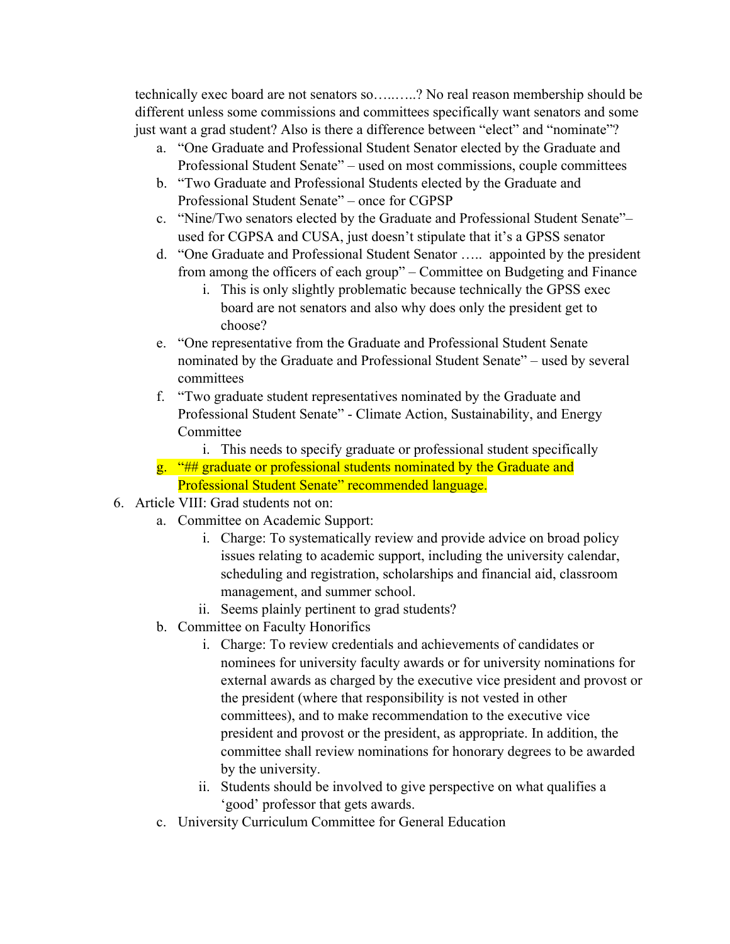technically exec board are not senators so…..…..? No real reason membership should be different unless some commissions and committees specifically want senators and some just want a grad student? Also is there a difference between "elect" and "nominate"?

- a. "One Graduate and Professional Student Senator elected by the Graduate and Professional Student Senate" – used on most commissions, couple committees
- b. "Two Graduate and Professional Students elected by the Graduate and Professional Student Senate" – once for CGPSP
- c. "Nine/Two senators elected by the Graduate and Professional Student Senate"– used for CGPSA and CUSA, just doesn't stipulate that it's a GPSS senator
- d. "One Graduate and Professional Student Senator ….. appointed by the president from among the officers of each group" – Committee on Budgeting and Finance
	- i. This is only slightly problematic because technically the GPSS exec board are not senators and also why does only the president get to choose?
- e. "One representative from the Graduate and Professional Student Senate nominated by the Graduate and Professional Student Senate" – used by several committees
- f. "Two graduate student representatives nominated by the Graduate and Professional Student Senate" - Climate Action, Sustainability, and Energy Committee

i. This needs to specify graduate or professional student specifically

- g. "## graduate or professional students nominated by the Graduate and Professional Student Senate" recommended language.
- 6. Article VIII: Grad students not on:
	- a. Committee on Academic Support:
		- i. Charge: To systematically review and provide advice on broad policy issues relating to academic support, including the university calendar, scheduling and registration, scholarships and financial aid, classroom management, and summer school.
		- ii. Seems plainly pertinent to grad students?
	- b. Committee on Faculty Honorifics
		- i. Charge: To review credentials and achievements of candidates or nominees for university faculty awards or for university nominations for external awards as charged by the executive vice president and provost or the president (where that responsibility is not vested in other committees), and to make recommendation to the executive vice president and provost or the president, as appropriate. In addition, the committee shall review nominations for honorary degrees to be awarded by the university.
		- ii. Students should be involved to give perspective on what qualifies a 'good' professor that gets awards.
	- c. University Curriculum Committee for General Education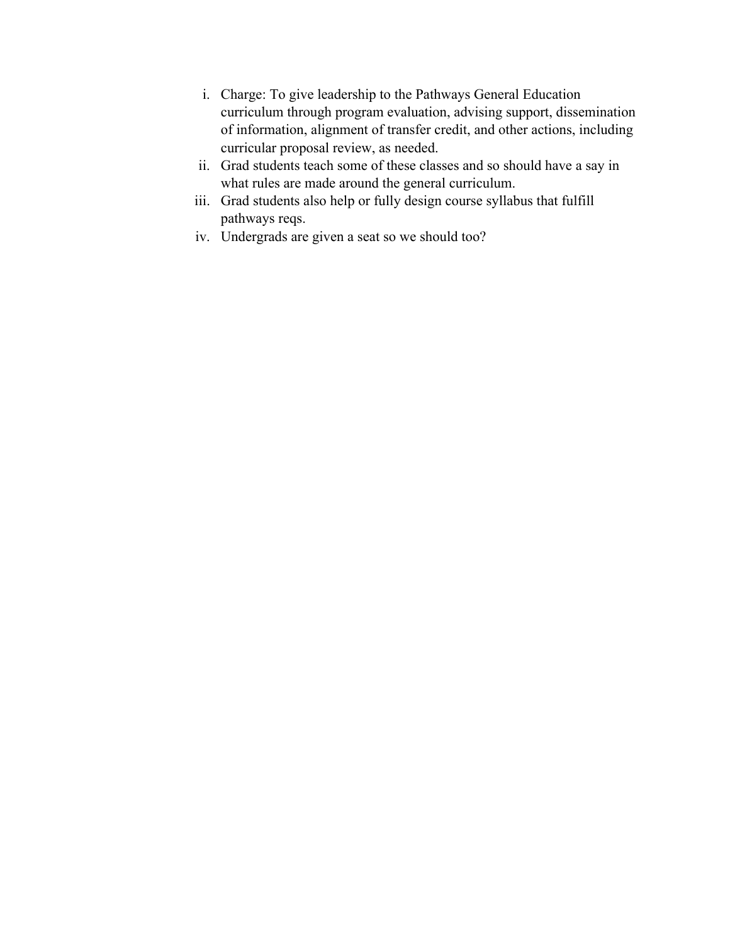- i. Charge: To give leadership to the Pathways General Education curriculum through program evaluation, advising support, dissemination of information, alignment of transfer credit, and other actions, including curricular proposal review, as needed.
- ii. Grad students teach some of these classes and so should have a say in what rules are made around the general curriculum.
- iii. Grad students also help or fully design course syllabus that fulfill pathways reqs.
- iv. Undergrads are given a seat so we should too?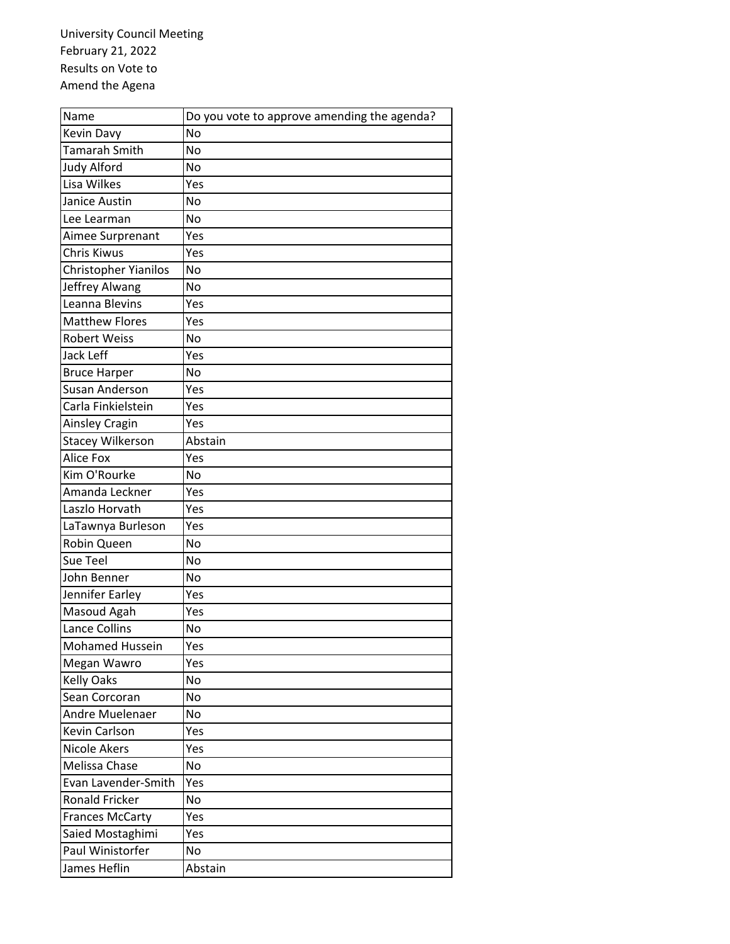University Council Meeting February 21, 2022 Results on Vote to Amend the Agena

| Name                    | Do you vote to approve amending the agenda? |
|-------------------------|---------------------------------------------|
| Kevin Davy              | <b>No</b>                                   |
| Tamarah Smith           | No                                          |
| Judy Alford             | No                                          |
| Lisa Wilkes             | Yes                                         |
| Janice Austin           | No                                          |
| Lee Learman             | No                                          |
| Aimee Surprenant        | Yes                                         |
| Chris Kiwus             | Yes                                         |
| Christopher Yianilos    | No                                          |
| Jeffrey Alwang          | No                                          |
| Leanna Blevins          | Yes                                         |
| <b>Matthew Flores</b>   | Yes                                         |
| <b>Robert Weiss</b>     | No                                          |
| Jack Leff               | Yes                                         |
| <b>Bruce Harper</b>     | No                                          |
| <b>Susan Anderson</b>   | Yes                                         |
| Carla Finkielstein      | Yes                                         |
| Ainsley Cragin          | Yes                                         |
| <b>Stacey Wilkerson</b> | Abstain                                     |
| Alice Fox               | Yes                                         |
| Kim O'Rourke            | No                                          |
| Amanda Leckner          | Yes                                         |
| Laszlo Horvath          | Yes                                         |
| LaTawnya Burleson       | Yes                                         |
| Robin Queen             | <b>No</b>                                   |
| Sue Teel                | No                                          |
| John Benner             | <b>No</b>                                   |
| Jennifer Earley         | Yes                                         |
| Masoud Agah             | Yes                                         |
| Lance Collins           | No                                          |
| Mohamed Hussein         | Yes                                         |
| Megan Wawro             | Yes                                         |
| <b>Kelly Oaks</b>       | No                                          |
| Sean Corcoran           | No                                          |
| Andre Muelenaer         | No                                          |
| Kevin Carlson           | Yes                                         |
| <b>Nicole Akers</b>     | Yes                                         |
| Melissa Chase           | No                                          |
| Evan Lavender-Smith     | Yes                                         |
| <b>Ronald Fricker</b>   | No                                          |
| <b>Frances McCarty</b>  | Yes                                         |
| Saied Mostaghimi        | Yes                                         |
| Paul Winistorfer        | No                                          |
| James Heflin            | Abstain                                     |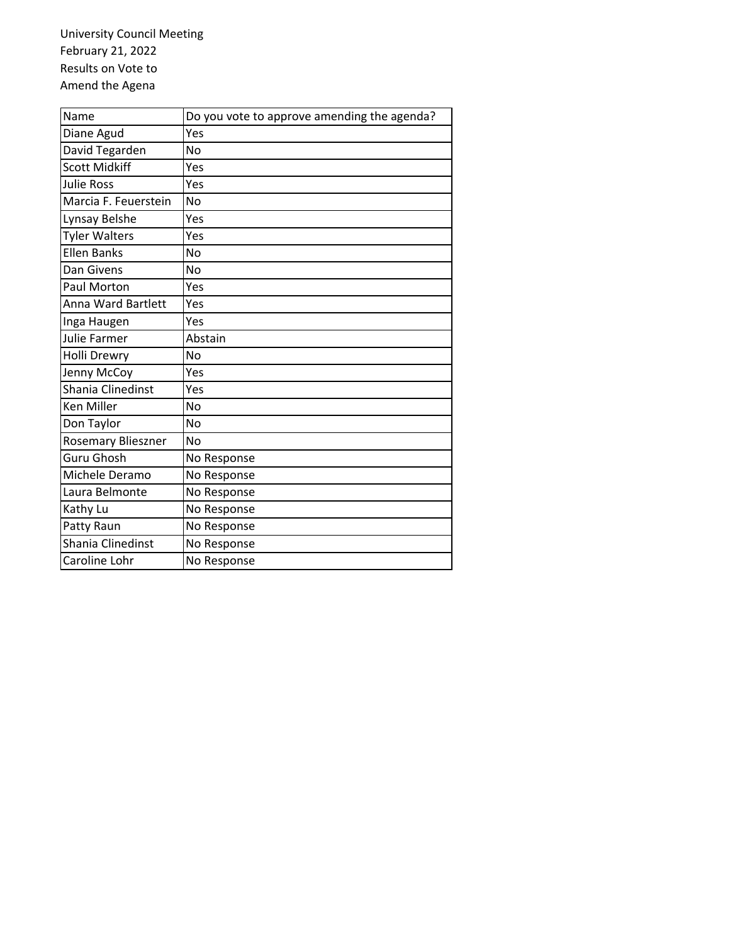University Council Meeting February 21, 2022 Results on Vote to Amend the Agena

| Name                      | Do you vote to approve amending the agenda? |
|---------------------------|---------------------------------------------|
| Diane Agud                | Yes                                         |
| David Tegarden            | No                                          |
| <b>Scott Midkiff</b>      | Yes                                         |
| <b>Julie Ross</b>         | Yes                                         |
| Marcia F. Feuerstein      | No                                          |
| Lynsay Belshe             | Yes                                         |
| <b>Tyler Walters</b>      | Yes                                         |
| <b>Ellen Banks</b>        | No                                          |
| Dan Givens                | No                                          |
| Paul Morton               | Yes                                         |
| <b>Anna Ward Bartlett</b> | Yes                                         |
| Inga Haugen               | Yes                                         |
| Julie Farmer              | Abstain                                     |
| Holli Drewry              | No                                          |
| Jenny McCoy               | Yes                                         |
| Shania Clinedinst         | Yes                                         |
| <b>Ken Miller</b>         | No                                          |
| Don Taylor                | No                                          |
| Rosemary Blieszner        | No                                          |
| Guru Ghosh                | No Response                                 |
| Michele Deramo            | No Response                                 |
| Laura Belmonte            | No Response                                 |
| Kathy Lu                  | No Response                                 |
| Patty Raun                | No Response                                 |
| Shania Clinedinst         | No Response                                 |
| Caroline Lohr             | No Response                                 |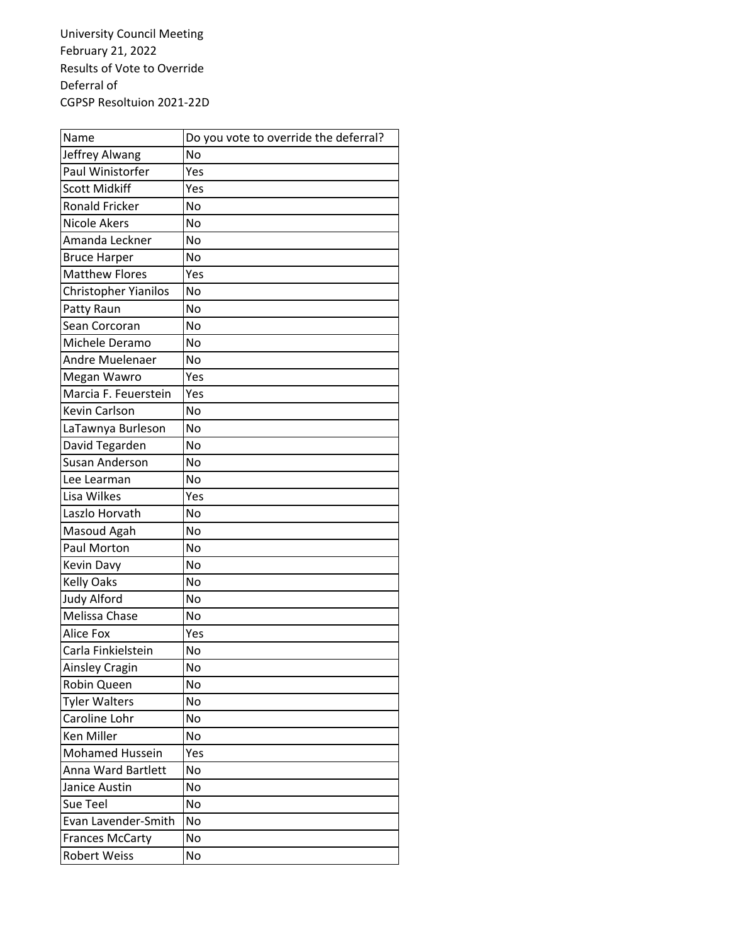University Council Meeting February 21, 2022 Results of Vote to Override Deferral of CGPSP Resoltuion 2021‐22D

| Name                   | Do you vote to override the deferral? |
|------------------------|---------------------------------------|
| Jeffrey Alwang         | No                                    |
| Paul Winistorfer       | Yes                                   |
| <b>Scott Midkiff</b>   | Yes                                   |
| <b>Ronald Fricker</b>  | <b>No</b>                             |
| <b>Nicole Akers</b>    | <b>No</b>                             |
| Amanda Leckner         | No                                    |
| <b>Bruce Harper</b>    | No                                    |
| <b>Matthew Flores</b>  | Yes                                   |
| Christopher Yianilos   | <b>No</b>                             |
| Patty Raun             | No                                    |
| Sean Corcoran          | No                                    |
| Michele Deramo         | <b>No</b>                             |
| Andre Muelenaer        | <b>No</b>                             |
| Megan Wawro            | Yes                                   |
| Marcia F. Feuerstein   | Yes                                   |
| Kevin Carlson          | No                                    |
| LaTawnya Burleson      | <b>No</b>                             |
| David Tegarden         | <b>No</b>                             |
| <b>Susan Anderson</b>  | <b>No</b>                             |
| Lee Learman            | <b>No</b>                             |
| Lisa Wilkes            | Yes                                   |
| Laszlo Horvath         | <b>No</b>                             |
| Masoud Agah            | <b>No</b>                             |
| Paul Morton            | <b>No</b>                             |
| Kevin Davy             | <b>No</b>                             |
| <b>Kelly Oaks</b>      | <b>No</b>                             |
| <b>Judy Alford</b>     | <b>No</b>                             |
| Melissa Chase          | <b>No</b>                             |
| Alice Fox              | Yes                                   |
| Carla Finkielstein     | No                                    |
| Ainsley Cragin         | No                                    |
| Robin Queen            | No                                    |
| <b>Tyler Walters</b>   | No                                    |
| Caroline Lohr          | No                                    |
| <b>Ken Miller</b>      | No                                    |
| <b>Mohamed Hussein</b> | Yes                                   |
| Anna Ward Bartlett     | No                                    |
| Janice Austin          | No                                    |
| Sue Teel               | No                                    |
| Evan Lavender-Smith    | <b>No</b>                             |
| <b>Frances McCarty</b> | No                                    |
| <b>Robert Weiss</b>    | No                                    |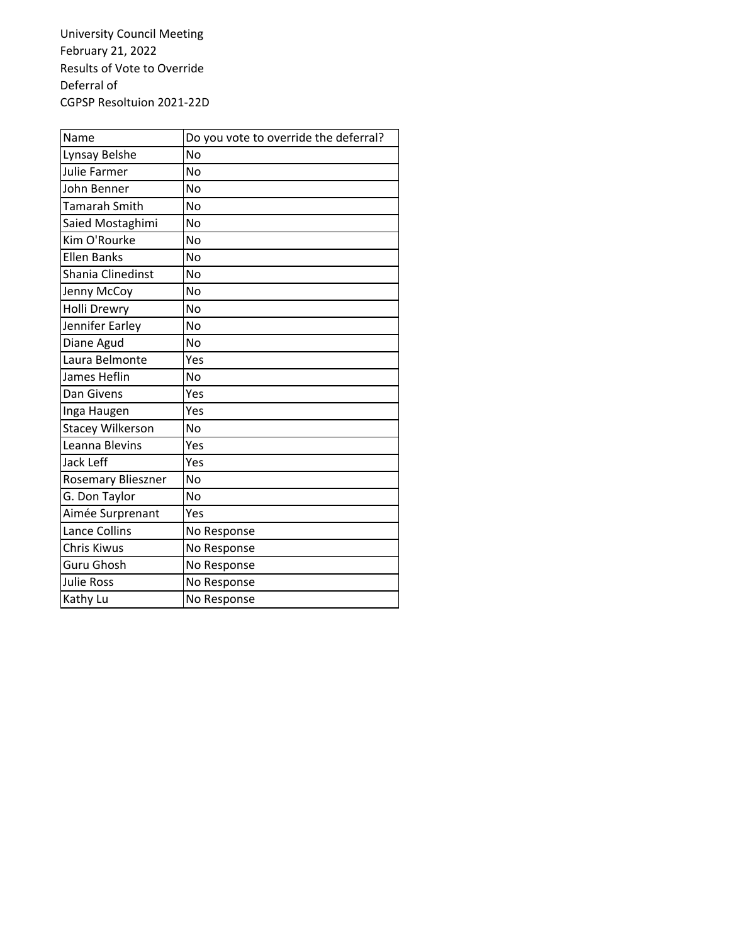University Council Meeting February 21, 2022 Results of Vote to Override Deferral of CGPSP Resoltuion 2021‐22D

| Name                    | Do you vote to override the deferral? |
|-------------------------|---------------------------------------|
| Lynsay Belshe           | No                                    |
| <b>Julie Farmer</b>     | No                                    |
| John Benner             | No                                    |
| Tamarah Smith           | No                                    |
| Saied Mostaghimi        | No                                    |
| Kim O'Rourke            | No                                    |
| <b>Ellen Banks</b>      | No                                    |
| Shania Clinedinst       | No                                    |
| Jenny McCoy             | No                                    |
| <b>Holli Drewry</b>     | No                                    |
| Jennifer Earley         | No                                    |
| Diane Agud              | No                                    |
| Laura Belmonte          | Yes                                   |
| James Heflin            | No                                    |
| Dan Givens              | Yes                                   |
| Inga Haugen             | Yes                                   |
| <b>Stacey Wilkerson</b> | <b>No</b>                             |
| Leanna Blevins          | Yes                                   |
| Jack Leff               | Yes                                   |
| Rosemary Blieszner      | N <sub>0</sub>                        |
| G. Don Taylor           | No                                    |
| Aimée Surprenant        | Yes                                   |
| Lance Collins           | No Response                           |
| Chris Kiwus             | No Response                           |
| Guru Ghosh              | No Response                           |
| <b>Julie Ross</b>       | No Response                           |
| Kathy Lu                | No Response                           |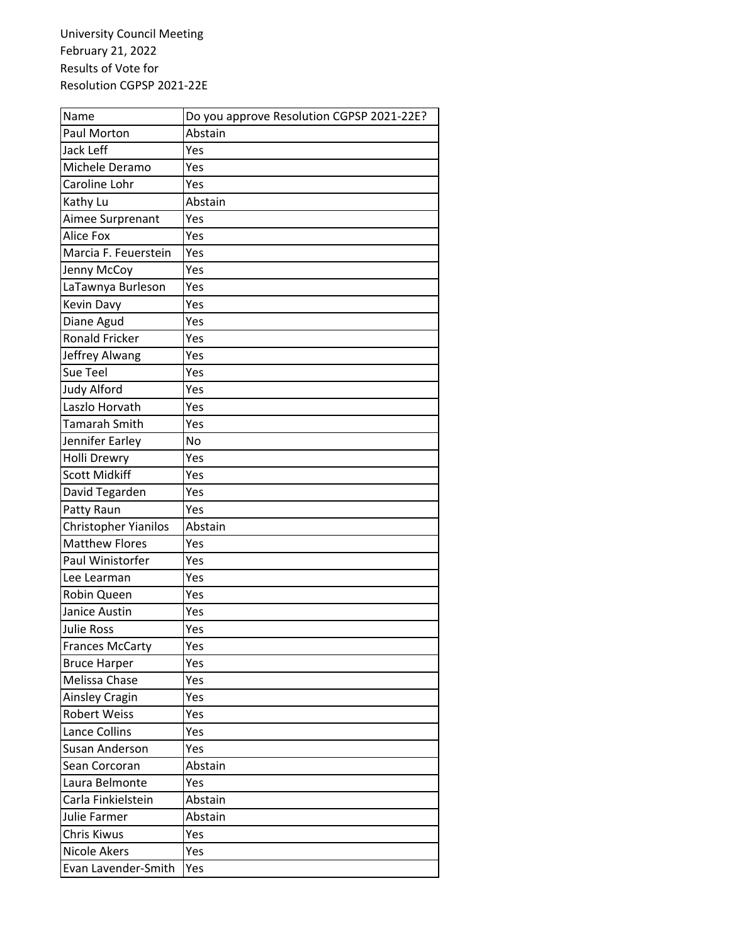University Council Meeting February 21, 2022 Results of Vote for Resolution CGPSP 2021‐22E

| Name                   | Do you approve Resolution CGPSP 2021-22E? |
|------------------------|-------------------------------------------|
| Paul Morton            | Abstain                                   |
| Jack Leff              | Yes                                       |
| Michele Deramo         | Yes                                       |
| Caroline Lohr          | Yes                                       |
| Kathy Lu               | Abstain                                   |
| Aimee Surprenant       | Yes                                       |
| Alice Fox              | Yes                                       |
| Marcia F. Feuerstein   | Yes                                       |
| Jenny McCoy            | Yes                                       |
| LaTawnya Burleson      | Yes                                       |
| Kevin Davy             | Yes                                       |
| Diane Agud             | Yes                                       |
| <b>Ronald Fricker</b>  | Yes                                       |
| Jeffrey Alwang         | Yes                                       |
| Sue Teel               | Yes                                       |
| <b>Judy Alford</b>     | Yes                                       |
| Laszlo Horvath         | Yes                                       |
| Tamarah Smith          | Yes                                       |
| Jennifer Earley        | No                                        |
| Holli Drewry           | Yes                                       |
| <b>Scott Midkiff</b>   | Yes                                       |
| David Tegarden         | Yes                                       |
| Patty Raun             | Yes                                       |
| Christopher Yianilos   | Abstain                                   |
| Matthew Flores         | Yes                                       |
| Paul Winistorfer       | Yes                                       |
| Lee Learman            | Yes                                       |
| Robin Queen            | Yes                                       |
| Janice Austin          | Yes                                       |
| <b>Julie Ross</b>      | Yes                                       |
| <b>Frances McCarty</b> | Yes                                       |
| <b>Bruce Harper</b>    | Yes                                       |
| Melissa Chase          | Yes                                       |
| Ainsley Cragin         | Yes                                       |
| <b>Robert Weiss</b>    | Yes                                       |
| Lance Collins          | Yes                                       |
| <b>Susan Anderson</b>  | Yes                                       |
| Sean Corcoran          | Abstain                                   |
| Laura Belmonte         | Yes                                       |
| Carla Finkielstein     | Abstain                                   |
| Julie Farmer           | Abstain                                   |
| Chris Kiwus            | Yes                                       |
| <b>Nicole Akers</b>    | Yes                                       |
| Evan Lavender-Smith    | Yes                                       |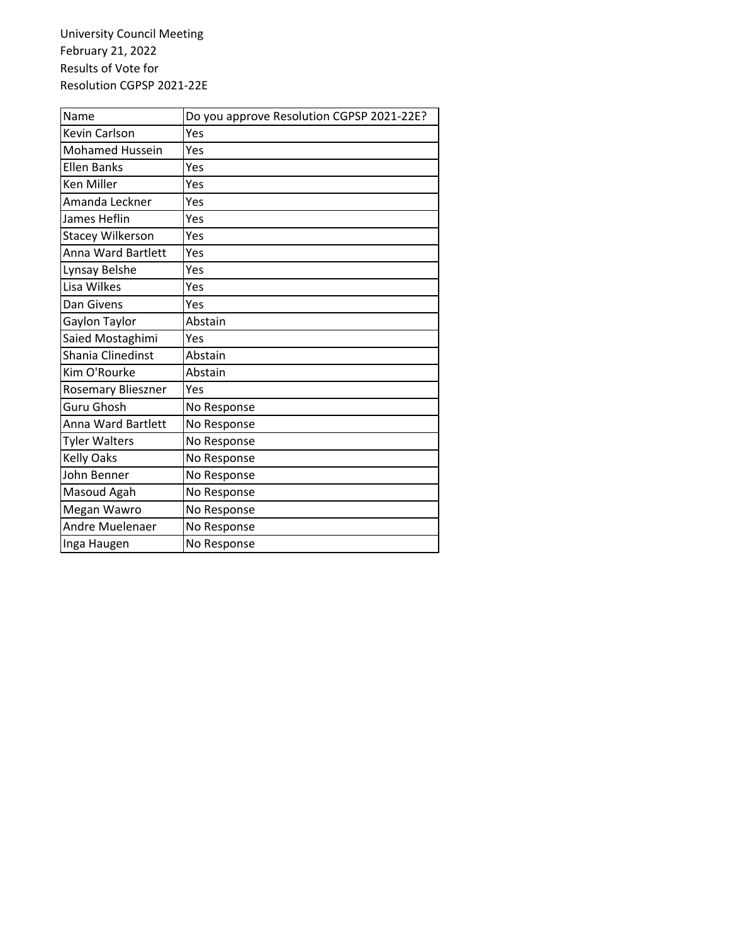University Council Meeting February 21, 2022 Results of Vote for Resolution CGPSP 2021‐22E

| Name                    | Do you approve Resolution CGPSP 2021-22E? |
|-------------------------|-------------------------------------------|
| Kevin Carlson           | Yes                                       |
| <b>Mohamed Hussein</b>  | Yes                                       |
| <b>Ellen Banks</b>      | Yes                                       |
| <b>Ken Miller</b>       | Yes                                       |
| Amanda Leckner          | Yes                                       |
| James Heflin            | Yes                                       |
| <b>Stacey Wilkerson</b> | Yes                                       |
| Anna Ward Bartlett      | Yes                                       |
| Lynsay Belshe           | Yes                                       |
| Lisa Wilkes             | Yes                                       |
| Dan Givens              | Yes                                       |
| Gaylon Taylor           | Abstain                                   |
| Saied Mostaghimi        | Yes                                       |
| Shania Clinedinst       | Abstain                                   |
| Kim O'Rourke            | Abstain                                   |
| Rosemary Blieszner      | Yes                                       |
| Guru Ghosh              | No Response                               |
| Anna Ward Bartlett      | No Response                               |
| <b>Tyler Walters</b>    | No Response                               |
| <b>Kelly Oaks</b>       | No Response                               |
| John Benner             | No Response                               |
| Masoud Agah             | No Response                               |
| Megan Wawro             | No Response                               |
| Andre Muelenaer         | No Response                               |
| Inga Haugen             | No Response                               |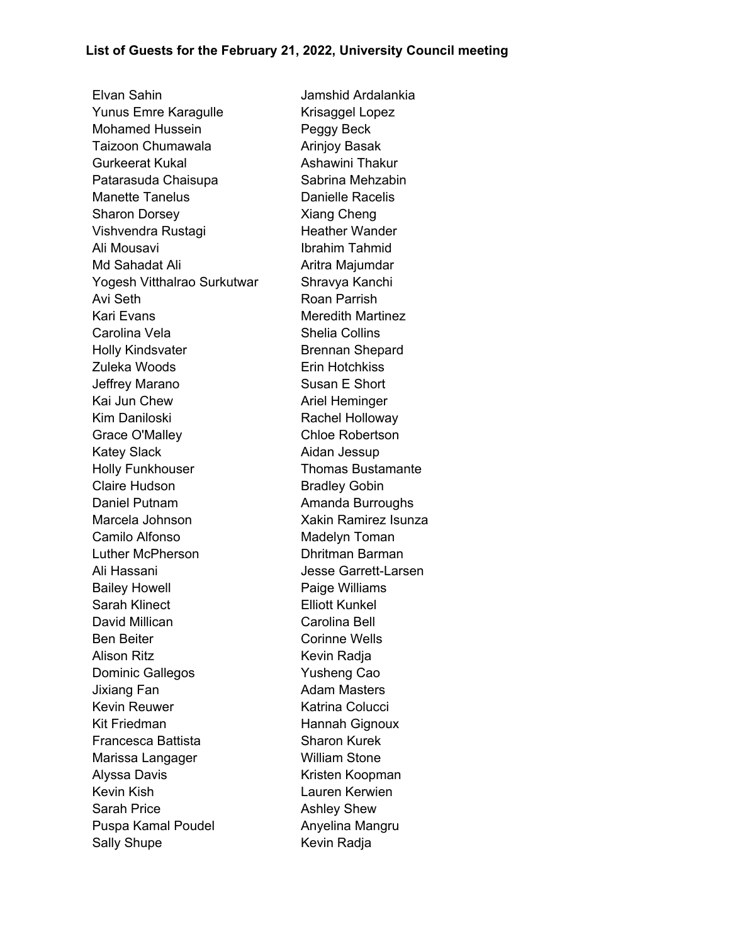Elvan Sahin Jamshid Ardalankia Yunus Emre Karagulle Krisaggel Lopez Mohamed Hussein **Peggy Beck** Taizoon Chumawala **Arinjoy Basak** Gurkeerat Kukal **Ashawini Thakur** Patarasuda Chaisupa **Sabrina Mehzabin** Manette Tanelus **Danielle Racelis** Sharon Dorsey Xiang Cheng Vishvendra Rustagi eta alteratur Heather Wander Ali Mousavi **Ibrahim Tahmid** Md Sahadat Ali **Aritra Majumdar** Yogesh Vitthalrao Surkutwar Shravya Kanchi Avi Seth **Roan Parrish** Kari Evans **Meredith Martinez** Carolina Vela **Shelia Collins** Holly Kindsvater **Brennan Shepard** Zuleka Woods **Erin Hotchkiss** Jeffrey Marano Susan E Short Kai Jun Chew **Ariel Heminger** Kim Daniloski **Rachel Holloway** Grace O'Malley Chloe Robertson Katey Slack **Aidan Jessup** Holly Funkhouser **Thomas Bustamante** Claire Hudson **Bradley Gobin** Daniel Putnam **Amanda Burroughs** Marcela Johnson Xakin Ramirez Isunza Camilo Alfonso **Madelyn Toman** Luther McPherson Dhritman Barman Ali Hassani Jesse Garrett-Larsen Bailey Howell **Example 2** Paige Williams Sarah Klinect **Elliott Kunkel** David Millican **Carolina Bell** Ben Beiter **Corinne Wells** Alison Ritz **Kevin Radja** Dominic Gallegos **Yusheng Cao** Jixiang Fan **Adam Masters** Kevin Reuwer **Katrina Colucci** Kit Friedman Hannah Gignoux Francesca Battista **Sharon Kurek** Marissa Langager William Stone Alyssa Davis **Kristen Koopman** Kevin Kish Lauren Kerwien Sarah Price **Ashley Shew** Puspa Kamal Poudel **Anyelina Mangru** Sally Shupe Kevin Radja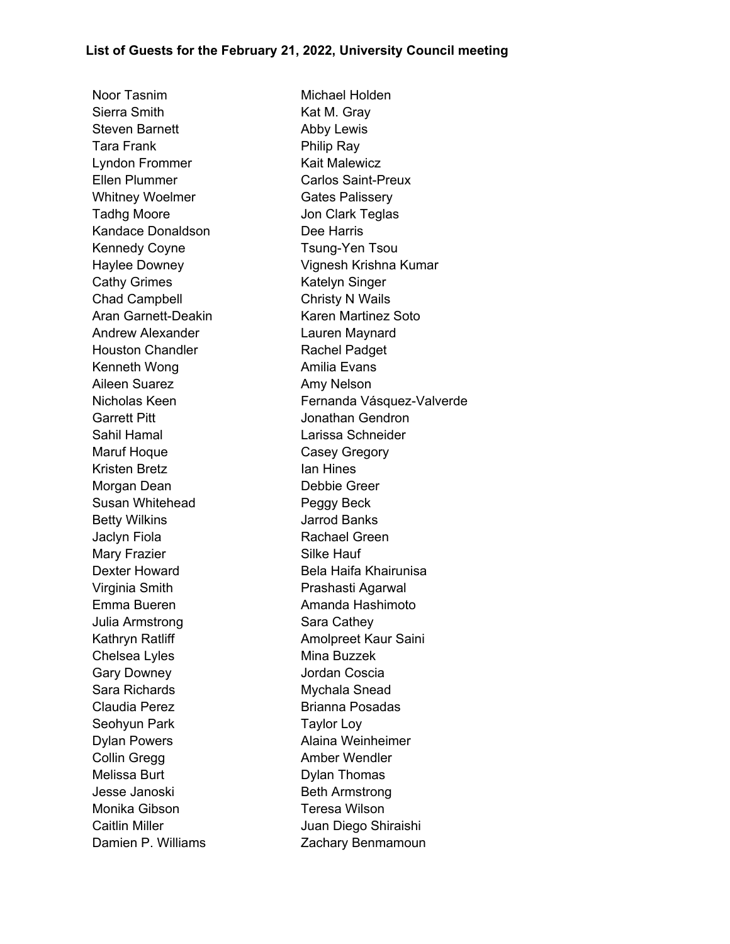Noor Tasnim **Michael Holden** Sierra Smith Kat M. Gray Steven Barnett Abby Lewis Tara Frank **Philip Ray** Lyndon Frommer Kait Malewicz Ellen Plummer Carlos Saint-Preux Whitney Woelmer Gates Palissery Tadhg Moore **In the South State State Team** Jon Clark Teglas Kandace Donaldson **Dee Harris** Kennedy Coyne Tsung-Yen Tsou Cathy Grimes **Katelyn** Singer Chad Campbell Christy N Wails Aran Garnett-Deakin Karen Martinez Soto Andrew Alexander Lauren Maynard Houston Chandler **Rachel Padget** Kenneth Wong **Amilia Evans** Aileen Suarez **Amy Nelson** Garrett Pitt **Garrett Pitt Jonathan Gendron** Sahil Hamal Larissa Schneider Maruf Hoque **Casey Gregory** Kristen Bretz **Installer Installer Installer Ian Hines** Morgan Dean Debbie Greer Susan Whitehead Peggy Beck Betty Wilkins **Games** Jarrod Banks Jaclyn Fiola **Rachael Green** Mary Frazier **National Silke Hauf** Virginia Smith **Prashasti Agarwal** Emma Bueren **Amanda Hashimoto** Julia Armstrong Sara Cathey Chelsea Lyles Mina Buzzek Gary Downey **Cary Contract Contract Contract Contract Contract Contract Contract Contract Contract Contract Contract Contract Contract Contract Contract Contract Contract Contract Contract Contract Contract Contract Contra** Sara Richards Mychala Snead Claudia Perez **Brianna Posadas** Seohyun Park Taylor Loy Dylan Powers **Alaina Weinheimer** Collin Gregg **Amber Wendler** Melissa Burt **Dylan Thomas** Jesse Janoski Beth Armstrong Monika Gibson Teresa Wilson Caitlin Miller **Juan Diego Shiraishi** 

Haylee Downey Vignesh Krishna Kumar Nicholas Keen Fernanda Vásquez-Valverde Dexter Howard **Bela Haifa Khairunisa** Kathryn Ratliff **Amolpreet Kaur Saini** Damien P. Williams **Zachary Benmamoun**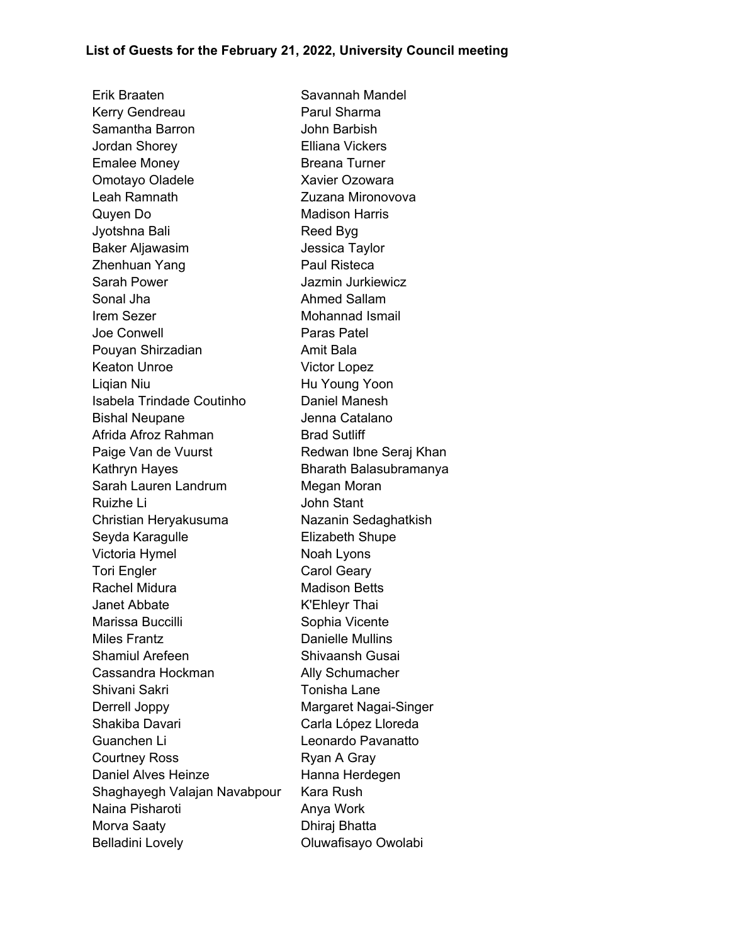Erik Braaten Savannah Mandel Kerry Gendreau **Parul Sharma** Samantha Barron **Camantha Barron** John Barbish Jordan Shorey Elliana Vickers Emalee Money **Breana Turner** Omotayo Oladele Xavier Ozowara Leah Ramnath **Zuzana Mironovova** Quyen Do **Madison Harris** Jyotshna Bali **Reed Byg** Baker Aljawasim **Graum Contract Standard Jessica Taylor** Zhenhuan Yang **Paul Risteca** Sarah Power **Internal Sarah Power** Jazmin Jurkiewicz Sonal Jha **Ahmed Sallam** Irem Sezer **Mohannad Ismail** Joe Conwell **Paras Patel** Pouyan Shirzadian **Amit Bala** Keaton Unroe Victor Lopez Ligian Niu **Hu Young Yoon** Isabela Trindade Coutinho Daniel Manesh Bishal Neupane **Internative Catalano** Afrida Afroz Rahman Brad Sutliff Paige Van de Vuurst Redwan Ibne Seraj Khan Kathryn Hayes **Bharath Balasubramanya** Sarah Lauren Landrum Megan Moran Ruizhe Li John Stant Christian Heryakusuma Nazanin Sedaghatkish Seyda Karagulle **Elizabeth Shupe** Victoria Hymel Noah Lyons Tori Engler Carol Geary Rachel Midura **Madison Betts** Janet Abbate **K'Ehleyr Thai** Marissa Buccilli **National Sophia Vicente** Miles Frantz **Danielle Mullins** Shamiul Arefeen Shivaansh Gusai Cassandra Hockman Mally Schumacher Shivani Sakri **Tonisha** Lane Derrell Joppy Margaret Nagai-Singer Shakiba Davari Carla López Lloreda Guanchen Li<br>
Leonardo Pavanatto Courtney Ross Ryan A Gray Daniel Alves Heinze **Hanna Herdegen** Shaghayegh Valajan Navabpour Kara Rush Naina Pisharoti **Anya Work** Morva Saaty **Dhiraj Bhatta** Belladini Lovely **Contained Access** Oluwafisayo Owolabi